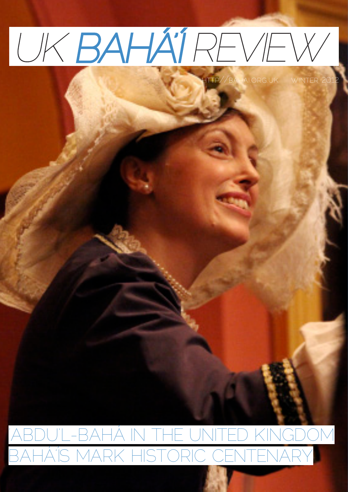# UK BAHA'I REVEW

http://bahai.org.uk winter 2012

### 'ABDU'L-BAHÁ IN THE UNITED KINGDOM BAHÁ'ÍS MARK HISTORIC CENTENARY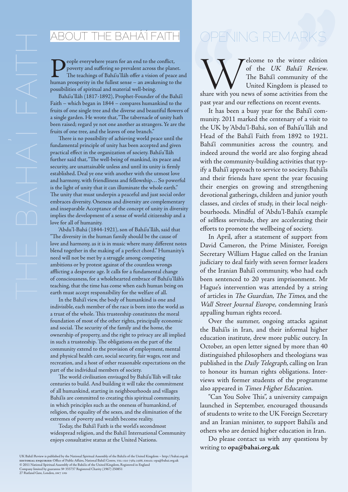#### ABOUT THE BAHÁ'Í FAITH

eople everywhere yearn for an end to the conflict, poverty and suffering so prevalent across the planet. The teachings of Bahá'u'lláh offer a vision of peace and human prosperity in the fullest sense – an awakening to the possibilities of spiritual and material well-being.

Bahá'u'lláh (1817-1892), Prophet-Founder of the Bahá'í Faith – which began in 1844 – compares humankind to the fruits of one single tree and the diverse and beautiful flowers of a single garden. He wrote that, "The tabernacle of unity hath been raised; regard ye not one another as strangers. Ye are the fruits of one tree, and the leaves of one branch."

There is no possibility of achieving world peace until the fundamental principle of unity has been accepted and given practical effect in the organization of society. Bahá'u'lláh further said that, "The well-being of mankind, its peace and security, are unattainable unless and until its unity is firmly established. Deal ye one with another with the utmost love and harmony, with friendliness and fellowship… So powerful is the light of unity that it can illuminate the whole earth." The unity that must underpin a peaceful and just social order embraces diversity. Oneness and diversity are complementary and inseparable Acceptance of the concept of unity in diversity implies the development of a sense of world citizenship and a love for all of humanity.

'Abdu'l-Bahá (1844-1921), son of Bahá'u'lláh, said that "The diversity in the human family should be the cause of love and harmony, as it is in music where many different notes blend together in the making of a perfect chord." Humanity's need will not be met by a struggle among competing ambitions or by protest against of the countless wrongs afflicting a desperate age. It calls for a fundamental change of consciousness, for a wholehearted embrace of Bahá'u'lláh's teaching, that the time has come when each human being on earth must accept responsibility for the welfare of all.

In the Bahá'í view, the body of humankind is one and indivisible, each member of the race is born into the world as a trust of the whole. This trusteeship constitutes the moral foundation of most of the other rights, principally economic and social. The security of the family and the home, the ownership of property, and the right to privacy are all implied in such a trusteeship. The obligations on the part of the community extend to the provision of employment, mental and physical health care, social security, fair wages, rest and recreation, and a host of other reasonable expectations on the part of the individual members of society.

The world civilisation envisaged by Bahá'u'lláh will take centuries to build. And building it will take the commitment of all humankind, starting in neighbourhoods and villages Bahá'ís are committed to creating this spiritual community, in which principles such as the oneness of humankind, of religion, the equality of the sexes, and the elimination of the extremes of poverty and wealth become reality.

Today, the Bahá'í Faith is the world's secondmost widespread religion, and the Bahá'í International Community enjoys consultative status at the United Nations.

## ARKS **''** OPENING REMARKS

Welcome to the winter edition<br>
of the UK Bahá'í Review.<br>
The Bahá'í community of the<br>
United Kingdom is pleased to<br>
share with you news of some activities from the of the UK Bahá'í Review. The Bahá'í community of the United Kingdom is pleased to past year and our reflections on recent events.

It has been a busy year for the Bahá'í community. 2011 marked the centenary of a visit to the UK by 'Abdu'l-Bahá, son of Bahá'u'lláh and Head of the Bahá'í Faith from 1892 to 1921. Bahá'í communities across the country, and indeed around the world are also forging ahead with the community-building activities that typify a Bahá'í approach to service to society. Bahá'ís and their friends have spent the year focusing their energies on growing and strengthening devotional gatherings, children and junior youth classes, and circles of study, in their local neighbourhoods. Mindful of 'Abdu'l-Bahá's example of selfless servitude, they are accelerating their efforts to promote the wellbeing of society.

In April, after a statement of support from David Cameron, the Prime Minister, Foreign Secretary William Hague called on the Iranian judiciary to deal fairly with seven former leaders of the Iranian Bahá'í community, who had each been sentenced to 20 years imprisonment. Mr Hague's intervention was attended by a string of articles in The Guardian, The Times, and the Wall Street Journal Europe, condemning Iran's appalling human rights record.

Over the summer, ongoing attacks against the Bahá'ís in Iran, and their informal higher education institute, drew more public outcry. In October, an open letter signed by more than 40 distinguished philosophers and theologians was published in the Daily Telegraph, calling on Iran to honour its human rights obligations. Interviews with former students of the programme also appeared in Times Higher Education.

"Can You Solve This", a university campaign launched in September, encouraged thousands of students to write to the UK Foreign Secretary and an Iranian minister, to support Bahá'ís and others who are denied higher education in Iran.

Do please contact us with any questions by writing to **opa@bahai.org.uk**

UK Bahá'í Review is published by the National Spiritual Assembly of the Bahá'ís of the United Kingdom – http://bahai.org.uk<br>EDITORIAL ENQUIRIES: Office of Public Affairs, National Bahá'í Centre, TE1: 020 7584 2566, EMAI1: Company limited by guarantee № 355737 Registered Charity (1967) 250851 27 Rutland Gate, London, SW7 1PD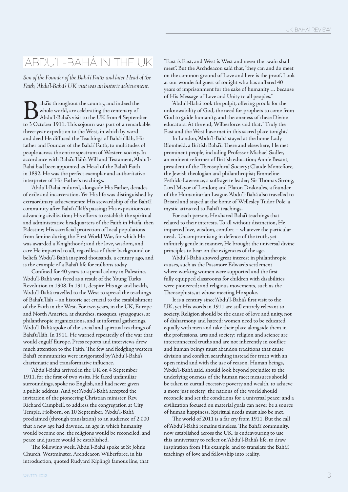#### 'ABDU'L-BAHÁ IN THE UK

*Son of the Founder of the Bahá'í Faith, and later Head of the Faith, 'Abdu'l-Bahá's UK visit was an historic achievement.*

Bahá'ís throughout the country, and indeed the<br>whole world, are celebrating the centenary of<br>Abdu'l-Bahá's visit to the UK from 4 Septem<br>to 3 October 1911. This soiourn was part of a remark whole world, are celebrating the centenary of 'Abdu'l-Bahá's visit to the UK from 4 September to 3 October 1911. This sojourn was part of a remarkable three-year expedition to the West, in which by word and deed He diffused the Teachings of Bahá'u'lláh, His father and Founder of the Bahá'í Faith, to multitudes of people across the entire spectrum of Western society. In accordance with Bahá'u'lláh's Will and Testament, 'Abdu'l-Bahá had been appointed as Head of the Bahá'í Faith in 1892. He was the perfect exemplar and authoritative interpreter of His Father's teachings.

'Abdu'l-Bahá endured, alongside His Father, decades of exile and incarceration. Yet His life was distinguished by extraordinary achievements: His stewardship of the Bahá'í community after Bahá'u'lláh's passing; His expositions on advancing civilization; His efforts to establish the spiritual and administrative headquarters of the Faith in Haifa, then Palestine; His sacrificial protection of local populations from famine during the First World War, for which He was awarded a Knighthood; and the love, wisdom, and care He imparted to all, regardless of their background or beliefs. 'Abdu'l-Bahá inspired thousands, a century ago, and is the example of a Bahá'í life for millions today.

Confined for 40 years to a penal colony in Palestine, 'Abdu'l-Bahá was freed as a result of the Young Turks Revolution in 1908. In 1911, despite His age and health, 'Abdu'l-Bahá travelled to the West to spread the teachings of Bahá'u'lláh – an historic act crucial to the establishment of the Faith in the West. For two years, in the UK, Europe and North America, at churches, mosques, synagogues, at philanthropic organizations, and at informal gatherings, 'Abdu'l-Bahá spoke of the social and spiritual teachings of Bahá'u'lláh. In 1911, He warned repeatedly of the war that would engulf Europe. Press reports and interviews drew much attention to the Faith. The few and fledgling western Bahá'í communities were invigorated by 'Abdu'l-Bahá's charismatic and transformative influence.

'Abdu'l-Bahá arrived in the UK on 4 September 1911, for the first of two visits. He faced unfamiliar surroundings, spoke no English, and had never given a public address. And yet 'Abdu'l-Bahá accepted the invitation of the pioneering Christian minister, Rev. Richard Campbell, to address the congregation at City Temple, Holborn, on 10 September. 'Abdu'l-Bahá proclaimed (through translation) to an audience of 2,000 that a new age had dawned, an age in which humanity would become one, the religions would be reconciled, and peace and justice would be established.

The following week, 'Abdu'l-Bahá spoke at St John's Church, Westminster. Archdeacon Wilberforce, in his introduction, quoted Rudyard Kipling's famous line, that

UK BAHÁ'Í REVIEW<br>
ABDU'L-BAHÁ IN THE UK "East is East, and West is West and never the twain shall<br>
Son of the Founder of the Bahá'í Faith, and later Head of the<br>
Faith, 'Abdu'l-Bahá's UK visit was an historic achievement.<br> "East is East, and West is West and never the twain shall meet". But the Archdeacon said that, "they can and do meet on the common ground of Love and here is the proof. Look at our wonderful guest of tonight who has suffered 40 years of imprisonment for the sake of humanity … because of His Message of Love and Unity to all peoples."

> 'Abdu'l-Bahá took the pulpit, offering proofs for the unknowability of God, the need for prophets to come from God to guide humanity, and the oneness of these Divine educators. At the end, Wilberforce said that, "Truly the East and the West have met in this sacred place tonight."

> In London, 'Abdu'l-Bahá stayed at the home Lady Blomfield, a British Bahá'í. There and elsewhere, He met prominent people, including Professor Michael Sadler, an eminent reformer of British education; Annie Besant, president of the Theosophical Society; Claude Montefiore, the Jewish theologian and philanthropist; Emmeline Pethick-Lawrence, a suffragette leader; Sir Thomas Strong, Lord Mayor of London; and Platon Drakoules, a founder of the Humanitarian League. 'Abdu'l-Bahá also travelled to Bristol and stayed at the home of Wellesley Tudor Pole, a mystic attracted to Bahá'í teachings.

> For each person, He shared Bahá'í teachings that related to their interests. To all without distinction, He imparted love, wisdom, comfort – whatever the particular need. Uncompromising in defence of the truth, yet infinitely gentle in manner, He brought the universal divine principles to bear on the exigencies of the age.

'Abdu'l-Bahá showed great interest in philanthropic causes, such as the Passmore Edwards settlement where working women were supported and the first fully equipped classrooms for children with disabilities were pioneered; and religious movements, such as the Theosophists, at whose meeting He spoke.

It is a century since 'Abdu'l-Bahá's first visit to the UK, yet His words in 1911 are still entirely relevant to society. Religion should be the cause of love and unity, not of disharmony and hatred; women need to be educated equally with men and take their place alongside them in the professions, arts and society; religion and science are interconnected truths and are not inherently in conflict; and human beings must abandon traditions that cause division and conflict, searching instead for truth with an open mind and with the use of reason. Human beings, 'Abdu'l-Bahá said, should look beyond prejudice to the underlying oneness of the human race; measures should be taken to curtail excessive poverty and wealth, to achieve a more just society; the nations of the world should reconcile and set the conditions for a universal peace; and a civilization focused on material goals can never be a source of human happiness. Spiritual needs must also be met.

The world of 2011 is a far cry from 1911. But the call of 'Abdu'l-Bahá remains timeless. The Bahá'í community, now established across the UK, is endeavouring to use this anniversary to reflect on 'Abdu'l-Bahá's life, to draw inspiration from His example, and to translate the Bahá'í teachings of love and fellowship into reality.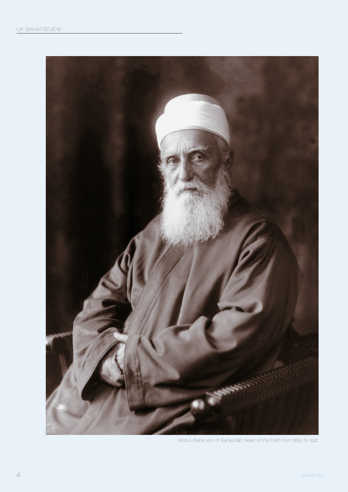

'Abdu'l-Bahá, son of Bahá'u'lláh, Head of the Faith from 1892 to 1921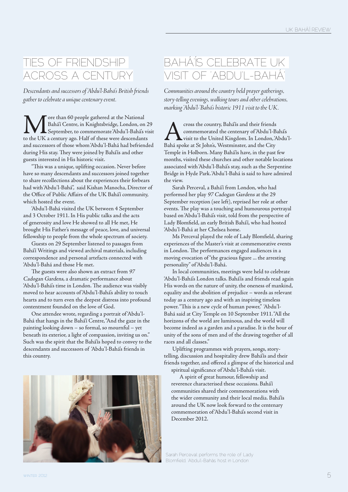#### TIES OF FRIENDSHIP ACROSS A CENTURY

*Descendants and successors of 'Abdu'l-Bahá's British friends gather to celebrate a unique centenary event.*

More than 60 people gathered at the National<br>Bahá'í Centre, in Knightsbridge, London, on<br>to the UK a century ago. Half of these were descendant Bahá'í Centre, in Knightsbridge, London, on 29 September, to commemorate 'Abdu'l-Bahá's visit to the UK a century ago. Half of these were descendants and successors of those whom 'Abdu'l-Bahá had befriended during His stay. They were joined by Bahá'ís and other guests interested in His historic visit.

"This was a unique, uplifting occasion. Never before have so many descendants and successors joined together to share recollections about the experiences their forbears had with 'Abdu'l-Bahá", said Kishan Manocha, Director of the Office of Public Affairs of the UK Bahá'í community, which hosted the event.

'Abdu'l-Bahá visited the UK between 4 September and 3 October 1911. In His public talks and the acts of generosity and love He showed to all He met, He brought His Father's message of peace, love, and universal fellowship to people from the whole spectrum of society.

Guests on 29 September listened to passages from Bahá'í Writings and viewed archival materials, including correspondence and personal artefacts connected with 'Abdu'l-Bahá and those He met.

The guests were also shown an extract from <sup>97</sup> Cadogan Gardens, a dramatic performance about 'Abdu'l-Bahá's time in London. The audience was visibly moved to hear accounts of 'Abdu'l-Bahá's ability to touch hearts and to turn even the deepest distress into profound contentment founded on the love of God.

One attendee wrote, regarding a portrait of 'Abdu'l-Bahá that hangs in the Bahá'í Centre, "And the gaze in the painting looking down – so formal, so mournful – yet beneath its exterior, a light of compassion, inviting us on." Such was the spirit that the Bahá'ís hoped to convey to the descendants and successors of 'Abdu'l-Bahá's friends in this country.



#### BAHÁ'ÍS CELEBRATE UK VISIT OF 'ABDU'L-BAHÁ'

*Communities around the country held prayer gatherings, story-telling evenings, walking tours and other celebrations, marking 'Abdu'l-'Bahá's historic 1911 visit to the UK.*

cross the country, Bahá'ís and their friends<br>commemorated the centenary of 'Abdu'l-B.<br>Bahá spoke at St Iohn's. Westminster, and the City commemorated the centenary of 'Abdu'l-Bahá's visit to the United Kingdom. In London, 'Abdu'l-Bahá spoke at St John's, Westminster, and the City Temple in Holborn. Many Bahá'ís have, in the past few months, visited these churches and other notable locations associated with 'Abdu'l-Bahá's stay, such as the Serpentine Bridge in Hyde Park. 'Abdu'l-Bahá is said to have admired the view.

Sarah Perceval, a Bahá'í from London, who had performed her play 97 Cadogan Gardens at the 29 September reception (see left), reprised her role at other events. The play was a touching and humourous portrayal based on 'Abdu'l-Bahá's visit, told from the perspective of Lady Blomfield, an early British Bahá'í, who had hosted 'Abdu'l-Bahá at her Chelsea home.

Ms Perceval played the role of Lady Blomfield, sharing experiences of the Master's visit at commemorative events in London. The performances engaged audiences in a moving evocation of "the gracious figure ... the arresting personality" of 'Abdu'l-Bahá.

In local communities, meetings were held to celebrate 'Abdu'l-Bahá's London talks. Bahá'ís and friends read again His words on the nature of unity, the oneness of mankind, equality and the abolition of prejudice – words as relevant today as a century ago and with an inspiring timeless power. "This is a new cycle of human power," 'Abdu'l-Bahá said at City Temple on 10 September 1911. "All the horizons of the world are luminous, and the world will become indeed as a garden and a paradise. It is the hour of unity of the sons of men and of the drawing together of all races and all classes."

Uplifting programmes with prayers, songs, storytelling, discussion and hospitality drew Bahá'ís and their friends together, and offered a glimpse of the historical and

spiritual significance of 'Abdu'l-Bahá's visit.

A spirit of great humour, fellowship and reverence characterised these occasions. Bahá'í communities shared their commemorations with the wider community and their local media. Bahá'ís around the UK now look forward to the centenary commemoration of 'Abdu'l-Bahá's second visit in December 2012.

Sarah Perceval performs the role of Lady Blomfield, 'Abdu'l-Bahás host in London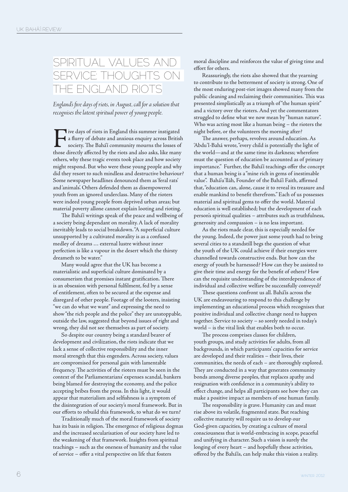#### SPIRITUAL VALUES AND SERVICE: THOUGHTS ON THE ENGLAND RIOTS

*England's five days of riots, in August, call for a solution that recognises the latent spiritual power of young people.*

Five days of riots in England this summer instigated<br>a flurry of debate and anxious enquiry across Britisl<br>society. The Bahá'í community mourns the losses of<br>those directly affected by the riots and also asks. like many a flurry of debate and anxious enquiry across British society. The Bahá'í community mourns the losses of those directly affected by the riots and also asks, like many others, why these tragic events took place and how society might respond. But who were these young people and why did they resort to such mindless and destructive behaviour? Some newspaper headlines denounced them as 'feral rats' and 'animals'. Others defended them as disempowered youth from an ignored underclass. Many of the rioters were indeed young people from deprived urban areas; but material poverty allone cannot explain looting and rioting.

The Bahá'í writings speak of the peace and wellbeing of a society being dependant on morality. A lack of morality inevitably leads to social breakdown. "A superficial culture unsupported by a cultivated morality is as a confused medley of dreams … external lustre without inner perfection is like a vapour in the desert which the thirsty dreameth to be water."

Many would agree that the UK has become a materialistic and superficial culture dominated by a consumerism that promises instant gratification. There is an obsession with personal fulfilment, fed by a sense of entitlement, often to be secured at the expense and disregard of other people. Footage of the looters, insisting "we can do what we want" and expressing the need to show "the rich people and the police" they are unstoppable, outside the law, suggested that beyond issues of right and wrong, they did not see themselves as part of society.

So despite our country being a standard bearer of development and civilization, the riots indicate that we lack a sense of collective responsibility and the inner moral strength that this engenders. Across society, values are compromised for personal gain with lamentable frequency. The activities of the rioters must be seen in the context of the Parliamentarians' expenses scandal, bankers being blamed for destroying the economy, and the police accepting bribes from the press. In this light, it would appear that materialism and selfishness is a symptom of the disintegration of our society's moral framework. But in our efforts to rebuild this framework, to what do we turn?

Traditionally much of the moral framework of society has its basis in religion. The emergence of religious dogmas and the increased secularisation of our society have led to the weakening of that framework. Insights from spiritual teachings – such as the oneness of humanity and the value of service – offer a vital perspective on life that fosters

moral discipline and reinforces the value of giving time and effort for others.

Reassuringly, the riots also showed that the yearning to contribute to the betterment of society is strong. One of the most enduring post-riot images showed many from the public cleaning and reclaiming their communities. This was presented simplistically as a triumph of "the human spirit" and a victory over the rioters. And yet the commentators struggled to define what we now mean by "human nature". Who was acting most like a human being – the rioters the night before, or the volunteers the morning after?

The answer, perhaps, revolves around education. As 'Abdu'l-Bahá wrote, "every child is potentially the light of the world—and at the same time its darkness; wherefore must the question of education be accounted as of primary importance." Further, the Bahá'í teachings offer the concept that a human being is a "mine rich in gems of inestimable value". Bahá'u'lláh, Founder of the Bahá'í Faith, affirmed that, "education can, alone, cause it to reveal its treasure and enable mankind to benefit therefrom." Each of us possesses material and spiritual gems to offer the world. Material education is well established; but the development of each person's spiritual qualities – attributes such as truthfulness, generosity and compassion – is no less important.

As the riots made clear, this is especially needed for the young. Indeed, the power just some youth had to bring several cities to a standstill begs the question of what the youth of the UK could achieve if their energies were channelled towards constructive ends. But how can the energy of youth be harnessed? How can they be assisted to give their time and energy for the benefit of others? How can the requisite understanding of the interdependence of individual and collective welfare be successfully conveyed?

These questions confront us all. Bahá'ís across the UK are endeavouring to respond to this challenge by implementing an educational process which recognises that positive individual and collective change need to happen together. Service to society – so sorely needed in today's world – is the vital link that enables both to occur.

The process comprises classes for children, youth groups, and study activities for adults, from all backgrounds, in which participants' capacities for service are developed and their realities – their lives, their communities, the needs of each – are thoroughly explored. They are conducted in a way that generates community bonds among diverse peoples, that replaces apathy and resignation with confidence in a community's ability to effect change, and helps all participants see how they can make a positive impact as members of one human family.

The responsibility is grave. Humanity can and must rise above its volatile, fragmented state. But reaching collective maturity will require us to develop our God-given capacities, by creating a culture of moral consciousness that is world-embracing in scope, peaceful and unifying in character. Such a vision is surely the longing of every heart – and hopefully these activities, offered by the Bahá'ís, can help make this vision a reality.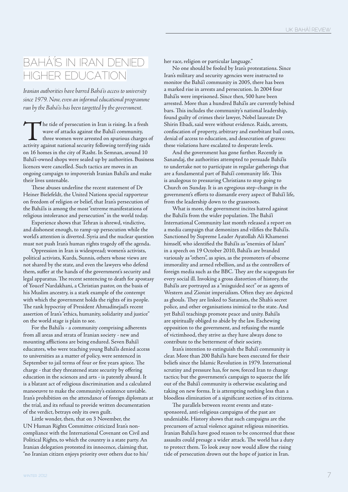#### BAHÁ'ÍS IN IRAN DENIED HIGHER EDUCATION

*Iranian authorities have barred Bahá'ís access to university since 1979. Now, even an informal educational programme run by the Bahá'ís has been targetted by the government.*

The tide of persecution in Iran is rising. In a fresh wave of attacks against the Bahá'í community, three women were arrested on spurious charges of activity against national security following terrifying raids on 16 homes in the city of Rasht. In Semnan, around 10 Bahá'í-owned shops were sealed up by authorities. Business licences were cancelled. Such tactics are moves in an ongoing campaign to impoverish Iranian Bahá'ís and make their lives untenable.

These abuses underline the recent statement of Dr Heiner Bielefeldt, the United Nations special rapporteur on freedom of religion or belief, that Iran's persecution of the Bahá'ís is among the most "extreme manifestations of religious intolerance and persecution" in the world today.

Experience shows that Tehran is shrewd, vindictive, and dishonest enough, to ramp-up persecution while the world's attention is diverted. Syria and the nuclear question must not push Iran's human rights tragedy off the agenda.

Oppression in Iran is widespread; women's activists, political activists, Kurds, Sunnis, others whose views are not shared by the state, and even the lawyers who defend them, suffer at the hands of the government's security and legal apparatus. The recent sentencing to death for apostasy of Youcef Nardakhani, a Christian pastor, on the basis of his Muslim ancestry, is a stark example of the contempt with which the government holds the rights of its people. The rank hypocrisy of President Ahmadinejad's recent assertion of Iran's "ethics, humanity, solidarity and justice" on the world stage is plain to see.

For the Bahá'ís - a community comprising adherents from all areas and strata of Iranian society - new and mounting afflictions are being endured. Seven Bahá'í educators, who were teaching young Bahá'ís denied access to universities as a matter of policy, were sentenced in September to jail terms of four or five years apiece. The charge - that they threatened state security by offering education in the sciences and arts - is patently absurd. It is a blatant act of religious discrimination and a calculated manoeuvre to make the community's existence unviable. Iran's prohibition on the attendance of foreign diplomats at the trial, and its refusal to provide written documentation of the verdict, betrays only its own guilt.

Little wonder, then, that on 3 November, the UN Human Rights Committee criticized Iran's noncompliance with the International Covenant on Civil and Political Rights, to which the country is a state party. An Iranian delegation protested its innocence, claiming that, "no Iranian citizen enjoys priority over others due to his/

her race, religion or particular language."

No one should be fooled by Iran's protestations. Since Iran's military and security agencies were instructed to monitor the Bahá'í community in 2005, there has been a marked rise in arrests and persecution. In 2004 four Bahá'ís were imprisoned. Since then, 500 have been arrested. More than a hundred Bahá'ís are currently behind bars. This includes the community's national leadership, found guilty of crimes their lawyer, Nobel laureate Dr Shirin Ebadi, said were without evidence. Raids, arrests, confiscation of property, arbitrary and exorbitant bail costs, denial of access to education, and desecration of graves: these violations have escalated to desperate levels.

And the government has gone further. Recently in Sanandaj, the authorities attempted to persuade Bahá'ís to undertake not to participate in regular gatherings that are a fundamental part of Bahá'í community life. This is analogous to pressuring Christians to stop going to Church on Sunday. It is an egregious step-change in the government's efforts to dismantle every aspect of Bahá'í life, from the leadership down to the grassroots.

What is more, the government incites hatred against the Bahá'ís from the wider population. The Bahá'í International Community last month released a report on a media campaign that demonizes and vilifies the Bahá'ís. Sanctioned by Supreme Leader Ayatollah Ali Khamenei himself, who identified the Bahá'ís as "enemies of Islam" in a speech on 19 October 2010, Bahá'ís are branded variously as "others", as spies, as the promoters of obscene immorality and armed rebellion, and as the controllers of foreign media such as the BBC. They are the scapegoats for every social ill. Invoking a gross distortion of history, the Bahá'ís are portrayed as a "misguided sect" or as agents of Western and Zionist imperialism. Often they are depicted as ghouls. They are linked to Satanists, the Shah's secret police, and other organisations inimical to the state. And yet Bahá'í teachings promote peace and unity. Bahá'ís are spiritually obliged to abide by the law. Eschewing opposition to the government, and refusing the mantle of victimhood, they strive as they have always done to contribute to the betterment of their society.

Iran's intention to extinguish the Bahá'í community is clear. More than 200 Bahá'ís have been executed for their beliefs since the Islamic Revolution in 1979. International scrutiny and pressure has, for now, forced Iran to change tactics; but the government's campaign to squeeze the life out of the Bahá'í community is otherwise escalating and taking on new forms. It is attempting nothing less than a bloodless elimination of a significant section of its citizens.

The parallels between recent events and statesponsored, anti-religious campaigns of the past are undeniable. History shows that such campaigns are the precursors of actual violence against religious minorities. Iranian Bahá'ís have good reason to be concerned that these assaults could presage a wider attack. The world has a duty to protect them. To look away now would allow the rising tide of persecution drown out the hope of justice in Iran.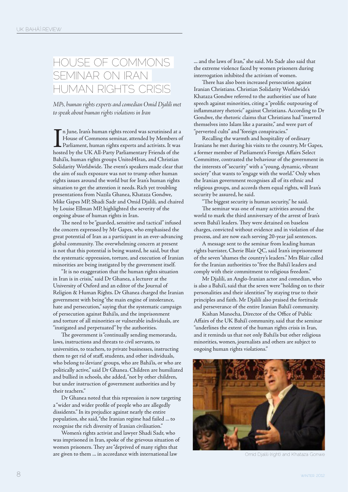#### HOUSE OF COMMONS SEMINAR ON IRAN HUMAN RIGHTS CRISIS

*MPs, human rights experts and comedian Omid Djalili met to speak about human rights violations in Iran*

In June, Iran's human rights record was scrutinised at a House of Commons seminar, attended by Members c<br>Parliament, human rights experts and activists. It was<br>hosted by the UK All-Party Parliamentary Friends of the n June, Iran's human rights record was scrutinised at a House of Commons seminar, attended by Members of Parliament, human rights experts and activists. It was Bahá'ís, human rights groups United4Iran, and Christian Solidarity Worldwide. The event's speakers made clear that the aim of such exposure was not to trump other human rights issues around the world but for Iran's human rights situation to get the attention it needs. Rich yet troubling presentations from Nazila Ghanea, Khataza Gondwe, Mike Gapes MP, Shadi Sadr and Omid Djalili, and chaired by Louise Ellman MP, highlighted the severity of the ongoing abuse of human rights in Iran.

The need to be "guarded, sensitive and tactical" infused the concern expressed by Mr Gapes, who emphasised the great potential of Iran as a participant in an ever-advancing global community. The overwhelming concern at present is not that this potential is being wasted, he said, but that the systematic oppression, torture, and execution of Iranian minorities are being instigated by the government itself.

"It is no exaggeration that the human rights situation in Iran is in crisis," said Dr Ghanea, a lecturer at the University of Oxford and an editor of the Journal of Religion & Human Rights. Dr Ghanea charged the Iranian government with being "the main engine of intolerance, hate and persecution," saying that the systematic campaign of persecution against Bahá'ís, and the imprisonment and torture of all minorities or vulnerable individuals, are "instigated and perpetuated" by the authorities.

The government is "continually sending memoranda, laws, instructions and threats to civil servants, to universities, to teachers, to private businesses, instructing them to get rid of staff, students, and other individuals, who belong to 'deviant' groups, who are Bahá'ís, or who are politically active," said Dr Ghanea. Children are humiliated and bullied in schools, she added, "not by other children, but under instruction of government authorities and by their teachers."

Dr Ghanea noted that this repression is now targeting a "wider and wider profile of people who are allegedly dissidents." In its prejudice against nearly the entire population, she said, "the Iranian regime had failed ... to recognise the rich diversity of Iranian civilisation."

Women's rights activist and lawyer Shadi Sadr, who was imprisoned in Iran, spoke of the grievous situation of women prisoners. They are "deprived of many rights that are given to them ... in accordance with international law

... and the laws of Iran," she said. Ms Sadr also said that the extreme violence faced by women prisoners during interrogation inhibited the activism of women.

There has also been increased persecution against Iranian Christians. Christian Solidarity Worldwide's Khataza Gondwe referred to the authorities' use of hate speech against minorities, citing a "prolific outpouring of inflammatory rhetoric" against Christians. According to Dr Gondwe, the rhetoric claims that Christians had "inserted themselves into Islam like a parasite," and were part of "perverted cults" and "foreign conspiracies."

Recalling the warmth and hospitality of ordinary Iranians he met during his visits to the country, Mr Gapes, a former member of Parliament's Foreign Affairs Select Committee, contrasted the behaviour of the government in the interests of "security" with a "young, dynamic, vibrant society" that wants to "engage with the world." Only when the Iranian government recognises all of its ethnic and religious groups, and accords them equal rights, will Iran's security be assured, he said.

"The biggest security is human security," he said.

The seminar was one of many activities around the world to mark the third anniversary of the arrest of Iran's seven Bahá'í leaders. They were detained on baseless charges, convicted without evidence and in violation of due process, and are now each serving 20-year jail sentences.

A message sent to the seminar from leading human rights barrister, Cherie Blair QC, said Iran's imprisonment of the seven "shames the country's leaders." Mrs Blair called for the Iranian authorities to "free the Bahá'í leaders and comply with their commitment to religious freedom."

Mr Djalili, an Anglo-Iranian actor and comedian, who is also a Bahá'í, said that the seven were "holding on to their personalities and their identities" by staying true to their principles and faith. Mr Djalili also praised the fortitude and perseverance of the entire Iranian Bahá'í community.

Kishan Manocha, Director of the Office of Public Affairs of the UK Bahá'í community, said that the seminar "underlines the extent of the human rights crisis in Iran, and it reminds us that not only Bahá'ís but other religious minorities, women, journalists and others are subject to ongoing human rights violations."



Omid Djalili (right) and Khataza Gonwe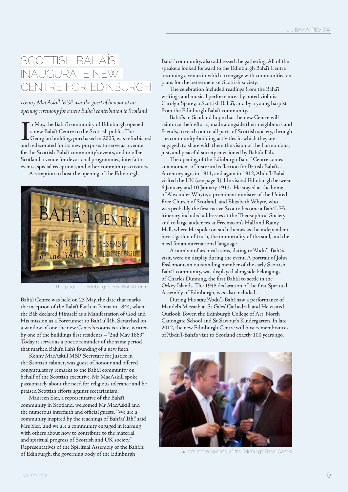#### SCOTTISH BAHÁ'ÍS INAUGURATE NEW CENTRE FOR EDINBURGH

*Kenny MacAskill MSP was the guest of honour at an opening ceremony for a new Bahá'í contribution to Scotland*

In May, the Bahá'í community of Edinburgh opened<br>a new Bahá'í Centre to the Scottish public. The<br>Georgian building, purchased in 2005, was refurbisl<br>and redecorated for its new purpose: to serve as a venue n May, the Bahá'í community of Edinburgh opened a new Bahá'í Centre to the Scottish public. The Georgian building, purchased in 2005, was refurbished for the Scottish Bahá'í community's events, and to offer Scotland a venue for devotional programmes, interfaith events, special receptions, and other community activities.

A reception to host the opening of the Edinburgh



The plaque of Edinburgh's new Bahá'í Centre

Bahá'í Centre was held on 23 May, the date that marks the inception of the Bahá'í Faith in Persia in 1844, when the Báb declared Himself as a Manifestation of God and His mission as a Forerunner to Bahá'u'lláh. Scratched on a window of one the new Centre's rooms is a date, written by one of the buildings first residents – "2nd May 1863". Today it serves as a poetic reminder of the same period that marked Bahá'u'lláh's founding of a new faith.

Kenny MacAskill MSP, Secretary for Justice in the Scottish cabinet, was guest of honour and offered congratulatory remarks to the Bahá'í community on behalf of the Scottish executive. Mr MacAskill spoke passionately about the need for religious tolerance and he praised Scottish efforts against sectarianism.

Maureen Sier, a representative of the Bahá'í community in Scotland, welcomed Mr MacAskill and the numerous interfaith and official guests. "We are a community inspired by the teachings of Bahá'u'lláh," said Mrs Sier, "and we are a community engaged in learning with others about how to contribute to the material and spiritual progress of Scottish and UK society." Representatives of the Spiritual Assembly of the Bahá'ís of Edinburgh, the governing body of the Edinburgh

Bahá'í community, also addressed the gathering. All of the speakers looked forward to the Edinburgh Bahá'í Centre becoming a venue in which to engage with communities on plans for the betterment of Scottish society.

The celebration included readings from the Bahá'í writings and musical performances by noted violinist Carolyn Sparey, a Scottish Bahá'í, and by a young harpist from the Edinburgh Bahá'í community.

Bahá'ís in Scotland hope that the new Centre will reinforce their efforts, made alongside their neighbours and friends, to reach out to all parts of Scottish society, through the community-building activities in which they are engaged, to share with them the vision of the harmonious, just, and peaceful society envisioned by Bahá'u'lláh.

The opening of the Edinburgh Bahá'í Centre comes at a moment of historical reflection for British Bahá'ís. A century ago, in 1911, and again in 1912, 'Abdu'l-Bahá visited the UK (see page 3). He visited Edinburgh between 6 January and 10 January 1913. He stayed at the home of Alexander Whyte, a prominent minister of the United Free Church of Scotland, and Elizabeth Whyte, who was probably the first native Scot to become a Bahá'í. His itinerary included addresses at the Theosophical Society and to large audiences at Freemason's Hall and Rainy Hall, where He spoke on such themes as the independent investigation of truth, the immortality of the soul, and the need for an international language.

A number of archival items, dating to 'Abdu'l-Bahá's visit, were on display during the event. A portrait of John Esslemont, an outstanding member of the early Scottish Bahá'í community, was displayed alongside belongings of Charles Dunning, the first Bahá'í to settle in the Orkey Islands. The 1948 declaration of the first Spiritual Assembly of Edinburgh, was also included.

During His stay, 'Abdu'l-Bahá saw a performance of Handel's Messiah at St Giles' Cathedral; and He visited Outlook Tower, the Edinburgh College of Art, North Canongate School and St Saviour's Kindergarten. In late 2012, the new Edinburgh Centre will host remembrances of 'Abdu'l-Bahá's visit to Scotland exactly 100 years ago.



Guests at the opening of the Edinburgh Bahá'í Centre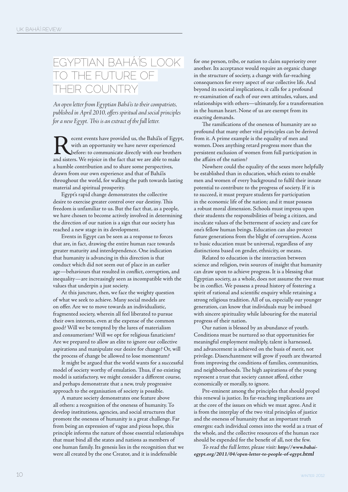#### EGYPTIAN BAHÁ'ÍS LOOK TO THE FUTURE OF THEIR COUNTRY

*An open letter from Egyptian Bahá'ís to their compatriots, published in April 2010, offers spiritual and social principles for a new Egypt. This is an extract of the full letter.*

ecent events have provided us, the Bahá'ís of Egypt, with an opportunity we have never experienced before: to communicate directly with our brothers and sisters. We rejoice in the fact that we are able to make a humble contribution and to share some perspectives, drawn from our own experience and that of Bahá'ís throughout the world, for walking the path towards lasting material and spiritual prosperity.

Egypt's rapid change demonstrates the collective desire to exercise greater control over our destiny. This freedom is unfamiliar to us. But the fact that, as a people, we have chosen to become actively involved in determining the direction of our nation is a sign that our society has reached a new stage in its development.

Events in Egypt can be seen as a response to forces that are, in fact, drawing the entire human race towards greater maturity and interdependence. One indication that humanity is advancing in this direction is that conduct which did not seem out of place in an earlier age—behaviours that resulted in conflict, corruption, and inequality—are increasingly seen as incompatible with the values that underpin a just society.

At this juncture, then, we face the weighty question of what we seek to achieve. Many social models are on offer. Are we to move towards an individualistic, fragmented society, wherein all feel liberated to pursue their own interests, even at the expense of the common good? Will we be tempted by the lures of materialism and consumerism? Will we opt for religious fanaticism? Are we prepared to allow an elite to ignore our collective aspirations and manipulate our desire for change? Or, will the process of change be allowed to lose momentum?

It might be argued that the world wants for a successful model of society worthy of emulation. Thus, if no existing model is satisfactory, we might consider a different course, and perhaps demonstrate that a new, truly progressive approach to the organisation of society is possible.

A mature society demonstrates one feature above all others: a recognition of the oneness of humanity. To develop institutions, agencies, and social structures that promote the oneness of humanity is a great challenge. Far from being an expression of vague and pious hope, this principle informs the nature of those essential relationships that must bind all the states and nations as members of one human family. Its genesis lies in the recognition that we were all created by the one Creator, and it is indefensible

for one person, tribe, or nation to claim superiority over another. Its acceptance would require an organic change in the structure of society, a change with far-reaching consequences for every aspect of our collective life. And beyond its societal implications, it calls for a profound re-examination of each of our own attitudes, values, and relationships with others—ultimately, for a transformation in the human heart. None of us are exempt from its exacting demands.

The ramifications of the oneness of humanity are so profound that many other vital principles can be derived from it. A prime example is the equality of men and women. Does anything retard progress more than the persistent exclusion of women from full participation in the affairs of the nation?

Nowhere could the equality of the sexes more helpfully be established than in education, which exists to enable men and women of every background to fulfil their innate potential to contribute to the progress of society. If it is to succeed, it must prepare students for participation in the economic life of the nation; and it must possess a robust moral dimension. Schools must impress upon their students the responsibilities of being a citizen, and inculcate values of the betterment of society and care for one's fellow human beings. Education can also protect future generations from the blight of corruption. Access to basic education must be universal, regardless of any distinctions based on gender, ethnicity, or means.

Related to education is the interaction between science and religion, twin sources of insight that humanity can draw upon to achieve progress. It is a blessing that Egyptian society, as a whole, does not assume the two must be in conflict. We possess a proud history of fostering a spirit of rational and scientific enquiry while retaining a strong religious tradition. All of us, especially our younger generation, can know that individuals may be imbued with sincere spirituality while labouring for the material progress of their nation.

Our nation is blessed by an abundance of youth. Conditions must be nurtured so that opportunities for meaningful employment multiply, talent is harnessed, and advancement is achieved on the basis of merit, not privilege. Disenchantment will grow if youth are thwarted from improving the conditions of families, communities, and neighbourhoods. The high aspirations of the young represent a trust that society cannot afford, either economically or morally, to ignore.

Pre-eminent among the principles that should propel this renewal is justice. Its far-reaching implications are at the core of the issues on which we must agree. And it is from the interplay of the two vital principles of justice and the oneness of humanity that an important truth emerges: each individual comes into the world as a trust of the whole, and the collective resources of the human race should be expended for the benefit of all, not the few.

To read the full letter, please visit: **http://www.bahaiegypt.org/2011/04/open-letter-to-people-of-egypt.html**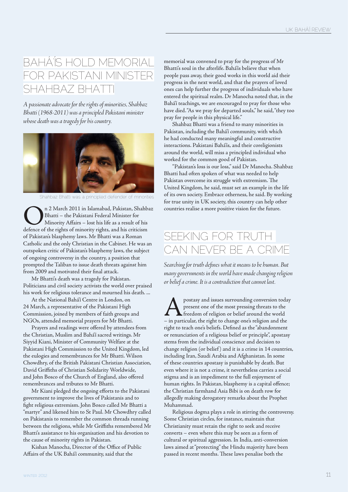#### BAHÁ'ÍS HOLD MEMORIAL FOR PAKISTANI MINISTER SHAHBAZ BHATT

*A passionate advocate for the rights of minorities, Shahbaz Bhatti (1968-2011) was a principled Pakistani minister whose death was a tragedy for his country.*



Shahbaz Bhatti was a principled defender of minorities

**On 2 March 2011 in Islamabad, Pakistan, Shahbaz**<br>Bhatti – the Pakistani Federal Minister for<br>Minority Affairs – lost his life as a result of his<br>defence of the rights of minority rights, and his criticism Bhatti – the Pakistani Federal Minister for Minority Affairs – lost his life as a result of his defence of the rights of minority rights, and his criticism of Pakistan's blasphemy laws. Mr Bhatti was a Roman Catholic and the only Christian in the Cabinet. He was an outspoken critic of Pakistan's blasphemy laws, the subject of ongoing controversy in the country, a position that prompted the Taliban to issue death threats against him from 2009 and motivated their final attack.

Mr Bhatti's death was a tragedy for Pakistan. Politicians and civil society activists the world over praised his work for religious tolerance and mourned his death. ...

At the National Bahá'í Centre in London, on 24 March, a representative of the Pakistani High Commission, joined by members of faith groups and NGOs, attended memorial prayers for Mr Bhatti.

Prayers and readings were offered by attendees from the Christian, Muslim and Bahá'í sacred writings. Mr Siyyid Kiani, Minister of Community Welfare at the Pakistani High Commission to the United Kingdom, led the eulogies and remembrances for Mr Bhatti. Wilson Chowdhry, of the British Pakistani Christian Association, David Griffiths of Christian Solidarity Worldwide, and John Bosco of the Church of England, also offered remembrances and tributes to Mr Bhatti.

Mr Kiani pledged the ongoing efforts to the Pakistani government to improve the lives of Pakistanis and to fight religious extremism. John Bosco called Mr Bhatti a "martyr" and likened him to St Paul. Mr Chowdhry called on Pakistanis to remember the common threads running between the religions, while Mr Griffiths remembered Mr Bhatti's assistance to his organisation and his devotion to the cause of minority rights in Pakistan.

Kishan Manocha, Director of the Office of Public Affairs of the UK Bahá'í community, said that the

memorial was convened to pray for the progress of Mr Bhatti's soul in the afterlife. Bahá'ís believe that when people pass away, their good works in this world aid their progress in the next world, and that the prayers of loved ones can help further the progress of individuals who have entered the spiritual realm. Dr Manocha noted that, in the Bahá'í teachings, we are encouraged to pray for those who have died. "As we pray for departed souls," he said, "they too pray for people in this physical life."

Shahbaz Bhatti was a friend to many minorities in Pakistan, including the Bahá'í community, with which he had conducted many meaningful and constructive interactions. Pakistani Bahá'ís, and their coreligionists around the world, will miss a principled individual who worked for the common good of Pakistan.

"Pakistan's loss is our loss," said Dr Manocha. Shahbaz Bhatti had often spoken of what was needed to help Pakistan overcome its struggle with extremism. The United Kingdom, he said, must set an example in the life of its own society. Embrace otherness, he said. By working for true unity in UK society, this country can help other countries realise a more positive vision for the future.

#### SEEKING FOR TRUTH CAN NEVER BE A CRIME

*Searching for truth defines what it means to be human. But many governments in the world have made changing religion or belief a crime. It is a contradiction that cannot last.*

**A** postasy and issues surrounding conversion today<br>present one of the most pressing threats to the<br>freedom of religion or belief around the world<br>- in particular, the right to change one's religion and the present one of the most pressing threats to the freedom of religion or belief around the world – in particular, the right to change one's religion and the right to teach one's beliefs. Defined as the "abandonment or renunciation of a religious belief or principle", apostasy stems from the individual conscience and decision to change religion (or belief) and it is a crime in 14 countries, including Iran, Saudi Arabia and Afghanistan. In some of these countries apostasy is punishable by death. But even where it is not a crime, it nevertheless carries a social stigma and is an impediment to the full enjoyment of human rights. In Pakistan, blasphemy is a capital offence; the Christian farmhand Asia Bibi is on death row for allegedly making derogatory remarks about the Prophet Muhammad.

Religious dogma plays a role in stirring the controversy. Some Christian circles, for instance, maintain that Christianity must retain the right to seek and receive converts – even where this may be seen as a form of cultural or spiritual aggression. In India, anti-conversion laws aimed at "protecting" the Hindu majority have been passed in recent months. These laws penalise both the